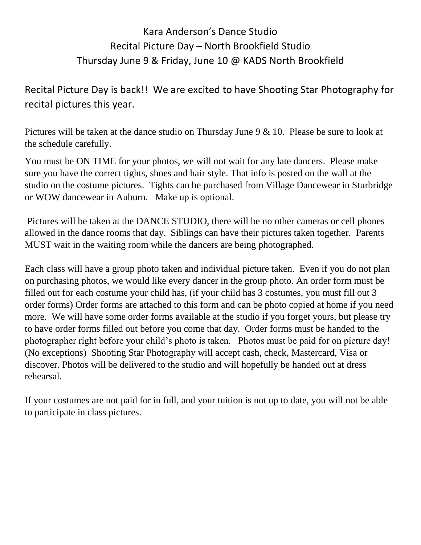## Kara Anderson's Dance Studio Recital Picture Day – North Brookfield Studio Thursday June 9 & Friday, June 10 @ KADS North Brookfield

Recital Picture Day is back!! We are excited to have Shooting Star Photography for recital pictures this year.

Pictures will be taken at the dance studio on Thursday June 9 & 10. Please be sure to look at the schedule carefully.

You must be ON TIME for your photos, we will not wait for any late dancers. Please make sure you have the correct tights, shoes and hair style. That info is posted on the wall at the studio on the costume pictures. Tights can be purchased from Village Dancewear in Sturbridge or WOW dancewear in Auburn. Make up is optional.

Pictures will be taken at the DANCE STUDIO, there will be no other cameras or cell phones allowed in the dance rooms that day. Siblings can have their pictures taken together. Parents MUST wait in the waiting room while the dancers are being photographed.

Each class will have a group photo taken and individual picture taken. Even if you do not plan on purchasing photos, we would like every dancer in the group photo. An order form must be filled out for each costume your child has, (if your child has 3 costumes, you must fill out 3 order forms) Order forms are attached to this form and can be photo copied at home if you need more. We will have some order forms available at the studio if you forget yours, but please try to have order forms filled out before you come that day. Order forms must be handed to the photographer right before your child's photo is taken. Photos must be paid for on picture day! (No exceptions) Shooting Star Photography will accept cash, check, Mastercard, Visa or discover. Photos will be delivered to the studio and will hopefully be handed out at dress rehearsal.

If your costumes are not paid for in full, and your tuition is not up to date, you will not be able to participate in class pictures.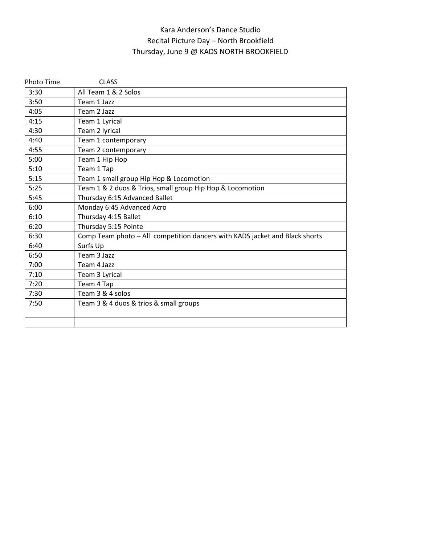## Kara Anderson's Dance Studio Recital Picture Day – North Brookfield Thursday, June 9 @ KADS NORTH BROOKFIELD

| <b>Photo Time</b> | <b>CLASS</b>                                                                |
|-------------------|-----------------------------------------------------------------------------|
| 3:30              | All Team 1 & 2 Solos                                                        |
| 3:50              | Team 1 Jazz                                                                 |
| 4:05              | Team 2 Jazz                                                                 |
| 4:15              | Team 1 Lyrical                                                              |
| 4:30              | Team 2 lyrical                                                              |
| 4:40              | Team 1 contemporary                                                         |
| 4:55              | Team 2 contemporary                                                         |
| 5:00              | Team 1 Hip Hop                                                              |
| 5:10              | Team 1 Tap                                                                  |
| 5:15              | Team 1 small group Hip Hop & Locomotion                                     |
| 5:25              | Team 1 & 2 duos & Trios, small group Hip Hop & Locomotion                   |
| 5:45              | Thursday 6:15 Advanced Ballet                                               |
| 6:00              | Monday 6:45 Advanced Acro                                                   |
| 6:10              | Thursday 4:15 Ballet                                                        |
| 6:20              | Thursday 5:15 Pointe                                                        |
| 6:30              | Comp Team photo - All competition dancers with KADS jacket and Black shorts |
| 6:40              | Surfs Up                                                                    |
| 6:50              | Team 3 Jazz                                                                 |
| 7:00              | Team 4 Jazz                                                                 |
| 7:10              | Team 3 Lyrical                                                              |
| 7:20              | Team 4 Tap                                                                  |
| 7:30              | Team 3 & 4 solos                                                            |
| 7:50              | Team 3 & 4 duos & trios & small groups                                      |
|                   |                                                                             |
|                   |                                                                             |